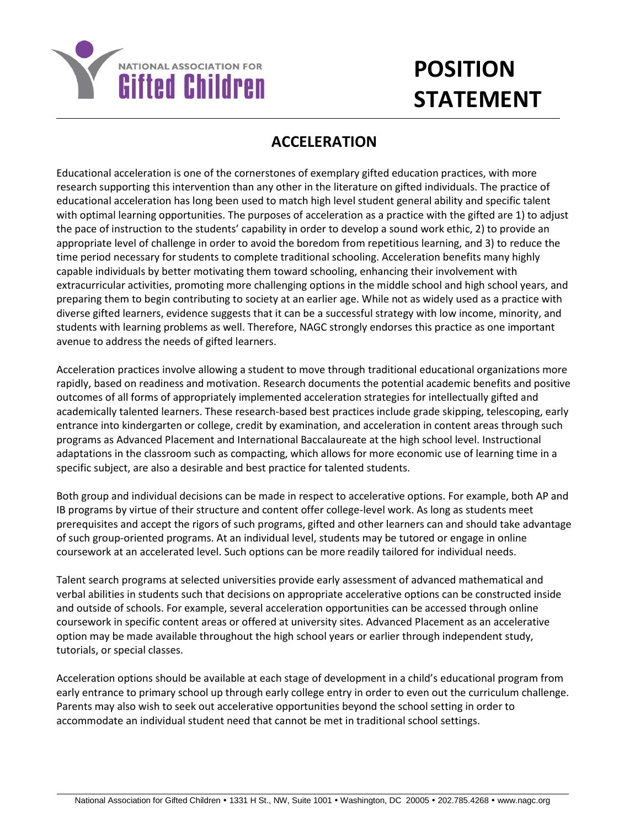

## **POSITION STATEMENT**

## **ACCELERATION**

Educational acceleration is one of the cornerstones of exemplary gifted education practices, with more research supporting this intervention than any other in the literature on gifted individuals. The practice of educational acceleration has long been used to match high level student general ability and specific talent with optimal learning opportunities. The purposes of acceleration as a practice with the gifted are 1) to adjust the pace of instruction to the students' capability in order to develop a sound work ethic, 2) to provide an appropriate level of challenge in order to avoid the boredom from repetitious learning, and 3) to reduce the time period necessary for students to complete traditional schooling. Acceleration benefits many highly capable individuals by better motivating them toward schooling, enhancing their involvement with extracurricular activities, promoting more challenging options in the middle school and high school years, and preparing them to begin contributing to society at an earlier age. While not as widely used as a practice with diverse gifted learners, evidence suggests that it can be a successful strategy with low income, minority, and students with learning problems as well. Therefore, NAGC strongly endorses this practice as one important avenue to address the needs of gifted learners.

Acceleration practices involve allowing a student to move through traditional educational organizations more rapidly, based on readiness and motivation. Research documents the potential academic benefits and positive outcomes of all forms of appropriately implemented acceleration strategies for intellectually gifted and academically talented learners. These research-based best practices include grade skipping, telescoping, early entrance into kindergarten or college, credit by examination, and acceleration in content areas through such programs as Advanced Placement and International Baccalaureate at the high school level. Instructional adaptations in the classroom such as compacting, which allows for more economic use of learning time in a specific subject, are also a desirable and best practice for talented students.

Both group and individual decisions can be made in respect to accelerative options. For example, both AP and IB programs by virtue of their structure and content offer college-level work. As long as students meet prerequisites and accept the rigors of such programs, gifted and other learners can and should take advantage of such group-oriented programs. At an individual level, students may be tutored or engage in online coursework at an accelerated level. Such options can be more readily tailored for individual needs.

Talent search programs at selected universities provide early assessment of advanced mathematical and verbal abilities in students such that decisions on appropriate accelerative options can be constructed inside and outside of schools. For example, several acceleration opportunities can be accessed through online coursework in specific content areas or offered at university sites. Advanced Placement as an accelerative option may be made available throughout the high school years or earlier through independent study, tutorials, or special classes.

Acceleration options should be available at each stage of development in a child's educational program from early entrance to primary school up through early college entry in order to even out the curriculum challenge. Parents may also wish to seek out accelerative opportunities beyond the school setting in order to accommodate an individual student need that cannot be met in traditional school settings.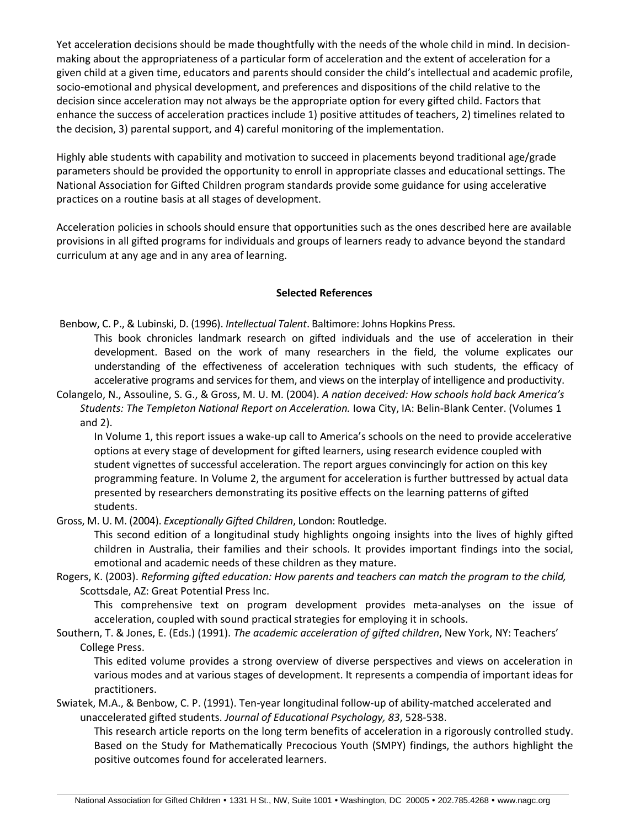Yet acceleration decisions should be made thoughtfully with the needs of the whole child in mind. In decisionmaking about the appropriateness of a particular form of acceleration and the extent of acceleration for a given child at a given time, educators and parents should consider the child's intellectual and academic profile, socio-emotional and physical development, and preferences and dispositions of the child relative to the decision since acceleration may not always be the appropriate option for every gifted child. Factors that enhance the success of acceleration practices include 1) positive attitudes of teachers, 2) timelines related to the decision, 3) parental support, and 4) careful monitoring of the implementation.

Highly able students with capability and motivation to succeed in placements beyond traditional age/grade parameters should be provided the opportunity to enroll in appropriate classes and educational settings. The National Association for Gifted Children program standards provide some guidance for using accelerative practices on a routine basis at all stages of development.

Acceleration policies in schools should ensure that opportunities such as the ones described here are available provisions in all gifted programs for individuals and groups of learners ready to advance beyond the standard curriculum at any age and in any area of learning.

## **Selected References**

Benbow, C. P., & Lubinski, D. (1996). *Intellectual Talent*. Baltimore: Johns Hopkins Press.

This book chronicles landmark research on gifted individuals and the use of acceleration in their development. Based on the work of many researchers in the field, the volume explicates our understanding of the effectiveness of acceleration techniques with such students, the efficacy of accelerative programs and services for them, and views on the interplay of intelligence and productivity.

Colangelo, N., Assouline, S. G., & Gross, M. U. M. (2004). *A nation deceived: How schools hold back America's Students: The Templeton National Report on Acceleration.* Iowa City, IA: Belin-Blank Center. (Volumes 1 and 2).

In Volume 1, this report issues a wake-up call to America's schools on the need to provide accelerative options at every stage of development for gifted learners, using research evidence coupled with student vignettes of successful acceleration. The report argues convincingly for action on this key programming feature. In Volume 2, the argument for acceleration is further buttressed by actual data presented by researchers demonstrating its positive effects on the learning patterns of gifted students.

Gross, M. U. M. (2004). *Exceptionally Gifted Children*, London: Routledge.

This second edition of a longitudinal study highlights ongoing insights into the lives of highly gifted children in Australia, their families and their schools. It provides important findings into the social, emotional and academic needs of these children as they mature.

Rogers, K. (2003). *Reforming gifted education: How parents and teachers can match the program to the child,* Scottsdale, AZ: Great Potential Press Inc.

This comprehensive text on program development provides meta-analyses on the issue of acceleration, coupled with sound practical strategies for employing it in schools.

Southern, T. & Jones, E. (Eds.) (1991). *The academic acceleration of gifted children*, New York, NY: Teachers' College Press.

This edited volume provides a strong overview of diverse perspectives and views on acceleration in various modes and at various stages of development. It represents a compendia of important ideas for practitioners.

Swiatek, M.A., & Benbow, C. P. (1991). Ten-year longitudinal follow-up of ability-matched accelerated and unaccelerated gifted students. *Journal of Educational Psychology, 83*, 528-538.

This research article reports on the long term benefits of acceleration in a rigorously controlled study. Based on the Study for Mathematically Precocious Youth (SMPY) findings, the authors highlight the positive outcomes found for accelerated learners.